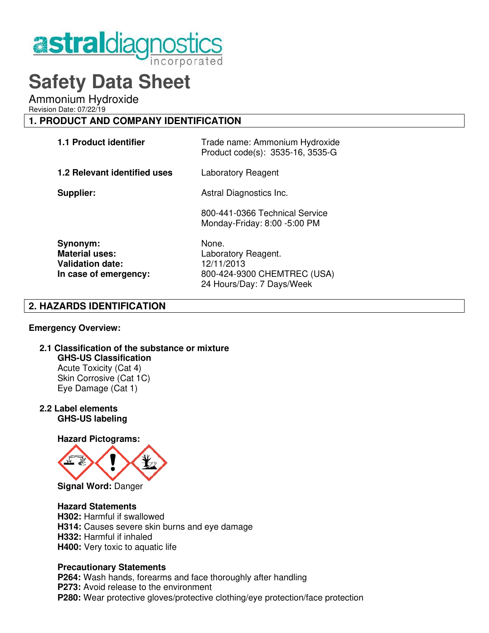

# **Safety Data Sheet**

Ammonium Hydroxide

Revision Date: 07/22/19

# **1. PRODUCT AND COMPANY IDENTIFICATION**

| <b>1.1 Product identifier</b>                                                         | Trade name: Ammonium Hydroxide<br>Product code(s): 3535-16, 3535-G        |  |
|---------------------------------------------------------------------------------------|---------------------------------------------------------------------------|--|
| <b>1.2 Relevant identified uses</b>                                                   | Laboratory Reagent                                                        |  |
| Supplier:                                                                             | Astral Diagnostics Inc.                                                   |  |
|                                                                                       | 800-441-0366 Technical Service<br>Monday-Friday: 8:00 -5:00 PM            |  |
| Synonym:<br><b>Material uses:</b><br><b>Validation date:</b><br>In case of emergency: | None.<br>Laboratory Reagent.<br>12/11/2013<br>800-424-9300 CHEMTREC (USA) |  |

24 Hours/Day: 7 Days/Week

# **2. HAZARDS IDENTIFICATION**

## **Emergency Overview:**

# **2.1 Classification of the substance or mixture GHS-US Classification**

Acute Toxicity (Cat 4) Skin Corrosive (Cat 1C) Eye Damage (Cat 1)

**2.2 Label elements GHS-US labeling**

 **Hazard Pictograms:**



## **Hazard Statements**

 **H302:** Harmful if swallowed  **H314:** Causes severe skin burns and eye damage  **H332:** Harmful if inhaled  **H400:** Very toxic to aquatic life

## **Precautionary Statements**

 **P264:** Wash hands, forearms and face thoroughly after handling **P273:** Avoid release to the environment  **P280:** Wear protective gloves/protective clothing/eye protection/face protection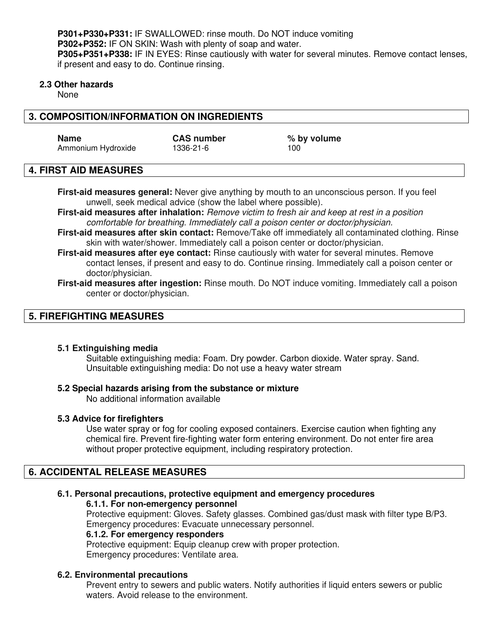**P301+P330+P331:** IF SWALLOWED: rinse mouth. Do NOT induce vomiting  **P302+P352:** IF ON SKIN: Wash with plenty of soap and water. **P305+P351+P338:** IF IN EYES: Rinse cautiously with water for several minutes. Remove contact lenses, if present and easy to do. Continue rinsing.

#### **2.3 Other hazards**

None

# **3. COMPOSITION/INFORMATION ON INGREDIENTS**

Name CAS number  $\%$  by volume Ammonium Hydroxide 1336-21-6 100

## **4. FIRST AID MEASURES**

**First-aid measures general:** Never give anything by mouth to an unconscious person. If you feel unwell, seek medical advice (show the label where possible).

**First-aid measures after inhalation:** Remove victim to fresh air and keep at rest in a position comfortable for breathing. Immediately call a poison center or doctor/physician.

- **First-aid measures after skin contact:** Remove/Take off immediately all contaminated clothing. Rinse skin with water/shower. Immediately call a poison center or doctor/physician.
- **First-aid measures after eye contact:** Rinse cautiously with water for several minutes. Remove contact lenses, if present and easy to do. Continue rinsing. Immediately call a poison center or doctor/physician.
- **First-aid measures after ingestion:** Rinse mouth. Do NOT induce vomiting. Immediately call a poison center or doctor/physician.

# **5. FIREFIGHTING MEASURES**

#### **5.1 Extinguishing media**

 Suitable extinguishing media: Foam. Dry powder. Carbon dioxide. Water spray. Sand. Unsuitable extinguishing media: Do not use a heavy water stream

## **5.2 Special hazards arising from the substance or mixture**

No additional information available

## **5.3 Advice for firefighters**

Use water spray or fog for cooling exposed containers. Exercise caution when fighting any chemical fire. Prevent fire-fighting water form entering environment. Do not enter fire area without proper protective equipment, including respiratory protection.

# **6. ACCIDENTAL RELEASE MEASURES**

## **6.1. Personal precautions, protective equipment and emergency procedures**

#### **6.1.1. For non-emergency personnel**

 Protective equipment: Gloves. Safety glasses. Combined gas/dust mask with filter type B/P3. Emergency procedures: Evacuate unnecessary personnel.

#### **6.1.2. For emergency responders**

Protective equipment: Equip cleanup crew with proper protection. Emergency procedures: Ventilate area.

## **6.2. Environmental precautions**

Prevent entry to sewers and public waters. Notify authorities if liquid enters sewers or public waters. Avoid release to the environment.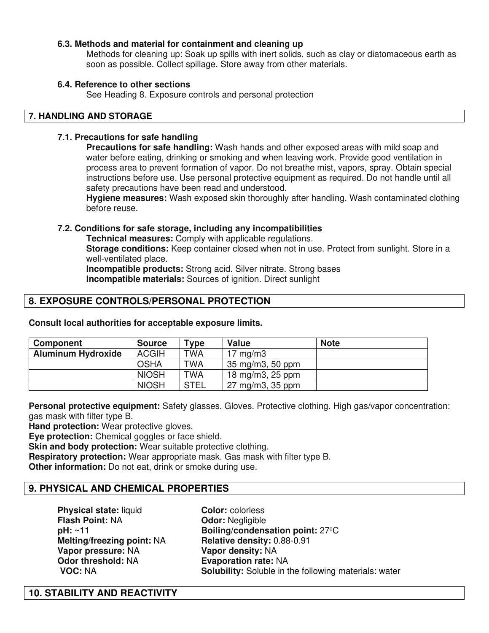## **6.3. Methods and material for containment and cleaning up**

Methods for cleaning up: Soak up spills with inert solids, such as clay or diatomaceous earth as soon as possible. Collect spillage. Store away from other materials.

#### **6.4. Reference to other sections**

See Heading 8. Exposure controls and personal protection

## **7. HANDLING AND STORAGE**

#### **7.1. Precautions for safe handling**

**Precautions for safe handling:** Wash hands and other exposed areas with mild soap and water before eating, drinking or smoking and when leaving work. Provide good ventilation in process area to prevent formation of vapor. Do not breathe mist, vapors, spray. Obtain special instructions before use. Use personal protective equipment as required. Do not handle until all safety precautions have been read and understood.

**Hygiene measures:** Wash exposed skin thoroughly after handling. Wash contaminated clothing before reuse.

## **7.2. Conditions for safe storage, including any incompatibilities**

 **Technical measures:** Comply with applicable regulations.

**Storage conditions:** Keep container closed when not in use. Protect from sunlight. Store in a well-ventilated place.

**Incompatible products:** Strong acid. Silver nitrate. Strong bases  **Incompatible materials:** Sources of ignition. Direct sunlight

# **8. EXPOSURE CONTROLS/PERSONAL PROTECTION**

| Component                 | <b>Source</b> | $T$ <sub>Vpe</sub> | <b>Value</b>                | <b>Note</b> |
|---------------------------|---------------|--------------------|-----------------------------|-------------|
| <b>Aluminum Hydroxide</b> | <b>ACGIH</b>  | <b>TWA</b>         | $17 \text{ mg/m}$           |             |
|                           | <b>OSHA</b>   | <b>TWA</b>         | 35 mg/m3, 50 ppm            |             |
|                           | <b>NIOSH</b>  | <b>TWA</b>         | 18 mg/m3, 25 ppm            |             |
|                           | <b>NIOSH</b>  | <b>STEL</b>        | $27 \text{ mg/m}$ 3, 35 ppm |             |

**Consult local authorities for acceptable exposure limits.**

**Personal protective equipment:** Safety glasses. Gloves. Protective clothing. High gas/vapor concentration: gas mask with filter type B.

**Hand protection:** Wear protective gloves.

**Eve protection:** Chemical goggles or face shield.

**Skin and body protection:** Wear suitable protective clothing.

**Respiratory protection:** Wear appropriate mask. Gas mask with filter type B.

**Other information:** Do not eat, drink or smoke during use.

# **9. PHYSICAL AND CHEMICAL PROPERTIES**

**Physical state: liquid Color: colorless Flash Point: NA <b>Odor:** Negligible **Melting/freezing point:** NA **Relative density:** 0.88-0.91 **Vapor pressure:** NA **Vapor density:** NA **Odor threshold:** NA **Evaporation rate:** NA

**pH:** ~11 **Boiling/condensation point:** 27<sup>o</sup>C **VOC: NA Solubility:** Soluble in the following materials: water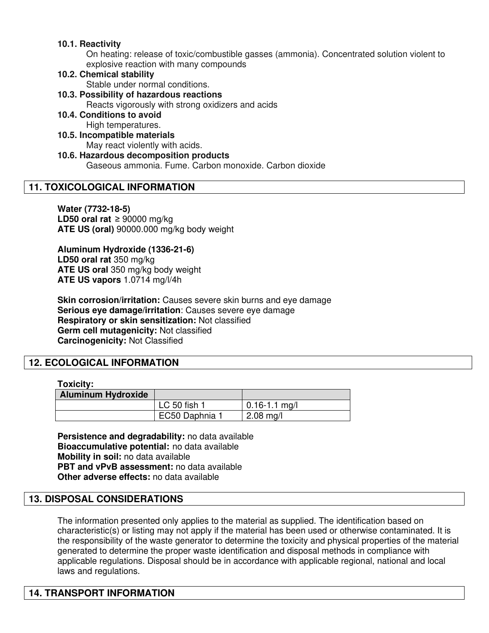## **10.1. Reactivity**

On heating: release of toxic/combustible gasses (ammonia). Concentrated solution violent to explosive reaction with many compounds

#### **10.2. Chemical stability**

Stable under normal conditions.

# **10.3. Possibility of hazardous reactions**

Reacts vigorously with strong oxidizers and acids

# **10.4. Conditions to avoid**

High temperatures.

#### **10.5. Incompatible materials**

May react violently with acids.

# **10.6. Hazardous decomposition products**

Gaseous ammonia. Fume. Carbon monoxide. Carbon dioxide

## **11. TOXICOLOGICAL INFORMATION**

**Water (7732-18-5) LD50 oral rat** ≥ 90000 mg/kg **ATE US (oral)** 90000.000 mg/kg body weight

#### **Aluminum Hydroxide (1336-21-6) LD50 oral rat** 350 mg/kg **ATE US oral** 350 mg/kg body weight **ATE US vapors** 1.0714 mg/l/4h

**Skin corrosion/irritation:** Causes severe skin burns and eye damage **Serious eye damage/irritation**: Causes severe eye damage **Respiratory or skin sensitization:** Not classified **Germ cell mutagenicity:** Not classified **Carcinogenicity:** Not Classified

# **12. ECOLOGICAL INFORMATION**

#### **Toxicity:**

| <b>Aluminum Hydroxide</b> |                |                     |
|---------------------------|----------------|---------------------|
|                           | LC 50 fish 1   | $0.16 - 1.1$ mg/l   |
|                           | EC50 Daphnia 1 | $2.08 \text{ mg/l}$ |

**Persistence and degradability:** no data available **Bioaccumulative potential:** no data available **Mobility in soil:** no data available **PBT and vPvB assessment:** no data available **Other adverse effects:** no data available

# **13. DISPOSAL CONSIDERATIONS**

The information presented only applies to the material as supplied. The identification based on characteristic(s) or listing may not apply if the material has been used or otherwise contaminated. It is the responsibility of the waste generator to determine the toxicity and physical properties of the material generated to determine the proper waste identification and disposal methods in compliance with applicable regulations. Disposal should be in accordance with applicable regional, national and local laws and regulations.

# **14. TRANSPORT INFORMATION**